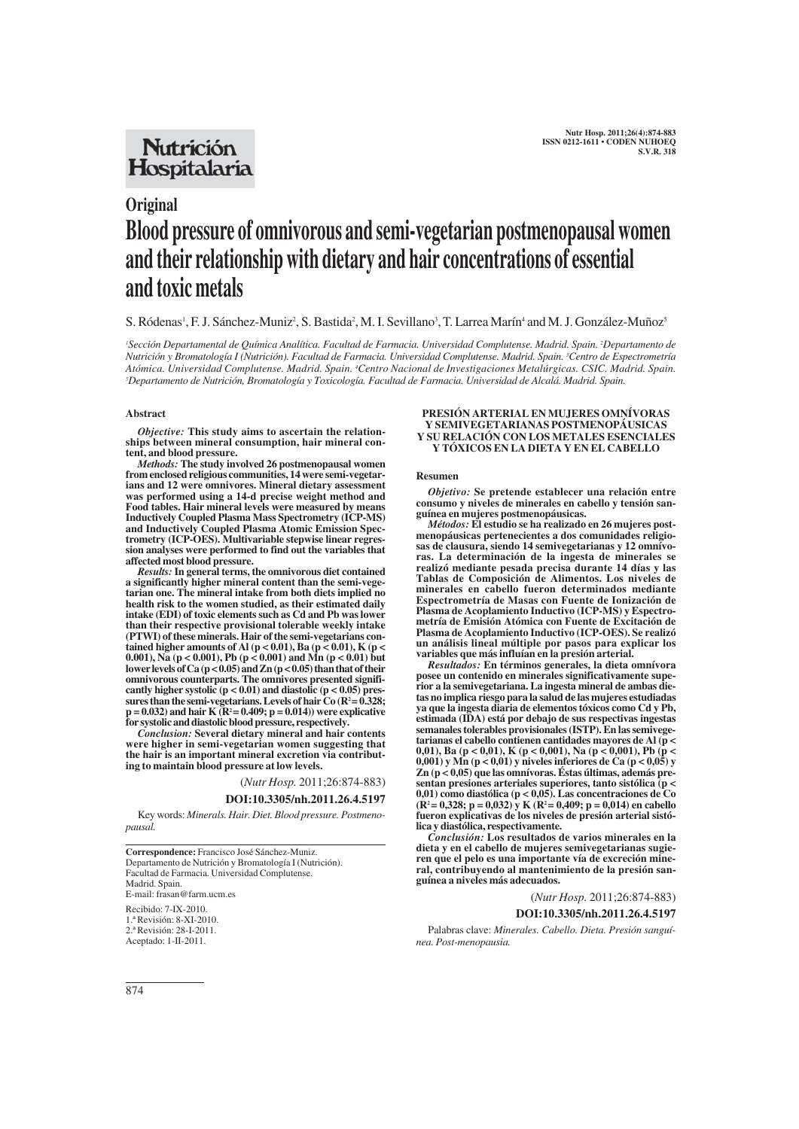## **Nutrición** Hospitalaria

# **Original Blood pressure of omnivorous and semi-vegetarian postmenopausal women and their relationship with dietary and hair concentrations of essential and toxic metals**

S. Ródenas<sup>1</sup>, F. J. Sánchez-Muniz<sup>2</sup>, S. Bastida<sup>2</sup>, M. I. Sevillano<sup>3</sup>, T. Larrea Marín<sup>4</sup> and M. J. González-Muñoz<sup>s</sup>

*1 Sección Departamental de Química Analítica. Facultad de Farmacia. Universidad Complutense. Madrid. Spain. 2 Departamento de Nutrición y Bromatología I (Nutrición). Facultad de Farmacia. Universidad Complutense. Madrid. Spain. 3 Centro de Espectrometría* Atómica. Universidad Complutense. Madrid. Spain. <sup>4</sup>Centro Nacional de Investigaciones Metalúrgicas. CSIC. Madrid. Spain. *5 Departamento de Nutrición, Bromatología y Toxicología. Facultad de Farmacia. Universidad de Alcalá. Madrid. Spain.*

#### **Abstract**

*Objective:* **This study aims to ascertain the relationships between mineral consumption, hair mineral content, and blood pressure.** 

*Methods:* **The study involved 26 postmenopausal women from enclosed religious communities, 14 were semi-vegetarians and 12 were omnivores. Mineral dietary assessment was performed using a 14-d precise weight method and Food tables. Hair mineral levels were measured by means Inductively Coupled Plasma Mass Spectrometry (ICP-MS) and Inductively Coupled Plasma Atomic Emission Spectrometry (ICP-OES). Multivariable stepwise linear regression analyses were performed to find out the variables that affected most blood pressure.**

*Results:***In general terms, the omnivorous diet contained a significantly higher mineral content than the semi-vegetarian one. The mineral intake from both diets implied no health risk to the women studied, as their estimated daily intake (EDI) of toxic elements such as Cd and Pb was lower than their respective provisional tolerable weekly intake (PTWI) of these minerals. Hair of the semi-vegetarians contained higher amounts of Al (p < 0.01), Ba (p < 0.01), K (p < 0.001), Na (p < 0.001), Pb (p < 0.001) and Mn (p < 0.01) but lower levels of Ca (p < 0.05) and Zn (p < 0.05) than that of their omnivorous counterparts. The omnivores presented significantly higher systolic (p < 0.01) and diastolic (p < 0.05) pres**sures than the semi-vegetarians. Levels of hair  $Co (R^2 = 0.328;$ **p = 0.032) and hair K (R2 = 0.409; p = 0.014)) were explicative for systolic and diastolic blood pressure, respectively.**

*Conclusion:* **Several dietary mineral and hair contents were higher in semi-vegetarian women suggesting that the hair is an important mineral excretion via contributing to maintain blood pressure at low levels.**

(*Nutr Hosp.* 2011;26:874-883)

## **DOI:10.3305/nh.2011.26.4.5197**

Key words: *Minerals. Hair. Diet. Blood pressure. Postmenopausal.*

**Correspondence:** Francisco José Sánchez-Muniz. Departamento de Nutrición y Bromatología I (Nutrición). Facultad de Farmacia. Universidad Complutense. Madrid. Spain. E-mail: frasan@farm.ucm.es

Recibido: 7-IX-2010. 1.ª Revisión: 8-XI-2010. 2.ª Revisión: 28-I-2011. Aceptado: 1-II-2011.

#### **PRESIÓN ARTERIAL EN MUJERES OMNÍVORAS Y SEMIVEGETARIANAS POSTMENOPÁUSICAS Y SU RELACIÓN CON LOS METALES ESENCIALES Y TÓXICOS EN LA DIETA Y EN EL CABELLO**

#### **Resumen**

*Objetivo:* **Se pretende establecer una relación entre consumo y niveles de minerales en cabello y tensión sanguínea en mujeres postmenopáusicas.**

*Métodos:* **El estudio se ha realizado en 26 mujeres postmenopáusicas pertenecientes a dos comunidades religiosas de clausura, siendo 14 semivegetarianas y 12 omnívoras. La determinación de la ingesta de minerales se realizó mediante pesada precisa durante 14 días y las Tablas de Composición de Alimentos. Los niveles de minerales en cabello fueron determinados mediante Espectrometría de Masas con Fuente de Ionización de Plasma de Acoplamiento Inductivo (ICP-MS) y Espectrometría de Emisión Atómica con Fuente de Excitación de Plasma de Acoplamiento Inductivo (ICP-OES). Se realizó un análisis lineal múltiple por pasos para explicar los variables que más influían en la presión arterial.**

*Resultados:* **En términos generales, la dieta omnívora posee un contenido en minerales significativamente superior a la semivegetariana. La ingesta mineral de ambas dietas no implica riesgo para la salud de las mujeres estudiadas ya que la ingesta diaria de elementos tóxicos como Cd y Pb, estimada (IDA) está por debajo de sus respectivas ingestas semanales tolerables provisionales (ISTP). En las semivegetarianas el cabello contienen cantidades mayores de Al (p < 0,01), Ba (p < 0,01), K (p < 0,001), Na (p < 0,001), Pb (p < 0,001) y Mn (p < 0,01) y niveles inferiores de Ca (p < 0,05) y Zn (p < 0,05) que las omnívoras. Éstas últimas, además presentan presiones arteriales superiores, tanto sistólica (p < 0,01) como diastólica (p < 0,05). Las concentraciones de Co (R2 = 0,328; p = 0,032) y K (R2 = 0,409; p = 0,014) en cabello fueron explicativas de los niveles de presión arterial sistólica y diastólica, respectivamente.** 

*Conclusión:* **Los resultados de varios minerales en la dieta y en el cabello de mujeres semivegetarianas sugieren que el pelo es una importante vía de excreción mineral, contribuyendo al mantenimiento de la presión sanguínea a niveles más adecuados.**

(*Nutr Hosp.* 2011;26:874-883)

**DOI:10.3305/nh.2011.26.4.5197**

Palabras clave: *Minerales. Cabello. Dieta. Presión sanguínea. Post-menopausia.*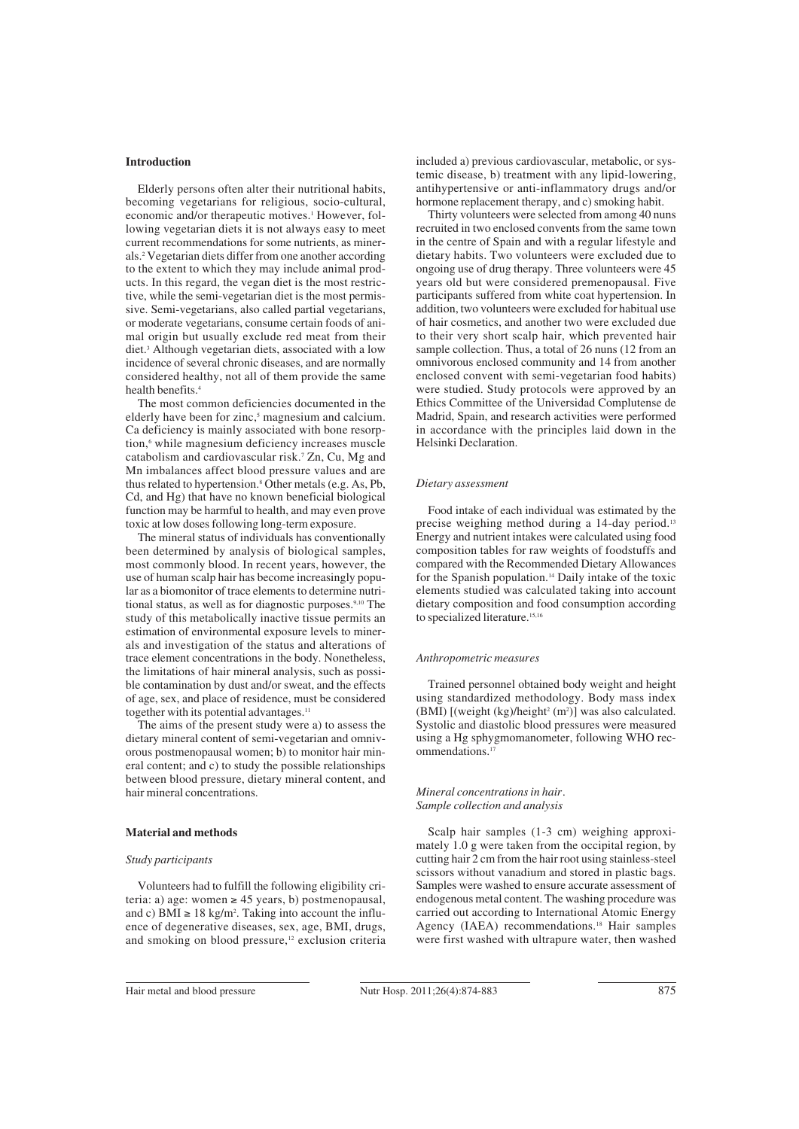## **Introduction**

Elderly persons often alter their nutritional habits, becoming vegetarians for religious, socio-cultural, economic and/or therapeutic motives.<sup>1</sup> However, following vegetarian diets it is not always easy to meet current recommendations for some nutrients, as minerals.2 Vegetarian diets differ from one another according to the extent to which they may include animal products. In this regard, the vegan diet is the most restrictive, while the semi-vegetarian diet is the most permissive. Semi-vegetarians, also called partial vegetarians, or moderate vegetarians, consume certain foods of animal origin but usually exclude red meat from their diet.3 Although vegetarian diets, associated with a low incidence of several chronic diseases, and are normally considered healthy, not all of them provide the same health benefits.4

The most common deficiencies documented in the elderly have been for zinc,<sup>5</sup> magnesium and calcium. Ca deficiency is mainly associated with bone resorption,<sup>6</sup> while magnesium deficiency increases muscle catabolism and cardiovascular risk.7 Zn, Cu, Mg and Mn imbalances affect blood pressure values and are thus related to hypertension.8 Other metals (e.g. As, Pb, Cd, and Hg) that have no known beneficial biological function may be harmful to health, and may even prove toxic at low doses following long-term exposure.

The mineral status of individuals has conventionally been determined by analysis of biological samples, most commonly blood. In recent years, however, the use of human scalp hair has become increasingly popular as a biomonitor of trace elements to determine nutritional status, as well as for diagnostic purposes.9,10 The study of this metabolically inactive tissue permits an estimation of environmental exposure levels to minerals and investigation of the status and alterations of trace element concentrations in the body. Nonetheless, the limitations of hair mineral analysis, such as possible contamination by dust and/or sweat, and the effects of age, sex, and place of residence, must be considered together with its potential advantages.<sup>11</sup>

The aims of the present study were a) to assess the dietary mineral content of semi-vegetarian and omnivorous postmenopausal women; b) to monitor hair mineral content; and c) to study the possible relationships between blood pressure, dietary mineral content, and hair mineral concentrations.

#### **Material and methods**

#### *Study participants*

Volunteers had to fulfill the following eligibility criteria: a) age: women ≥ 45 years, b) postmenopausal, and c) BMI  $\geq 18$  kg/m<sup>2</sup>. Taking into account the influence of degenerative diseases, sex, age, BMI, drugs, and smoking on blood pressure,<sup>12</sup> exclusion criteria included a) previous cardiovascular, metabolic, or systemic disease, b) treatment with any lipid-lowering, antihypertensive or anti-inflammatory drugs and/or hormone replacement therapy, and c) smoking habit.

Thirty volunteers were selected from among 40 nuns recruited in two enclosed convents from the same town in the centre of Spain and with a regular lifestyle and dietary habits. Two volunteers were excluded due to ongoing use of drug therapy. Three volunteers were 45 years old but were considered premenopausal. Five participants suffered from white coat hypertension. In addition, two volunteers were excluded for habitual use of hair cosmetics, and another two were excluded due to their very short scalp hair, which prevented hair sample collection. Thus, a total of 26 nuns (12 from an omnivorous enclosed community and 14 from another enclosed convent with semi-vegetarian food habits) were studied. Study protocols were approved by an Ethics Committee of the Universidad Complutense de Madrid, Spain, and research activities were performed in accordance with the principles laid down in the Helsinki Declaration.

#### *Dietary assessment*

Food intake of each individual was estimated by the precise weighing method during a 14-day period.<sup>13</sup> Energy and nutrient intakes were calculated using food composition tables for raw weights of foodstuffs and compared with the Recommended Dietary Allowances for the Spanish population.<sup>14</sup> Daily intake of the toxic elements studied was calculated taking into account dietary composition and food consumption according to specialized literature.<sup>15,16</sup>

#### *Anthropometric measures*

Trained personnel obtained body weight and height using standardized methodology. Body mass index (BMI) [(weight (kg)/height<sup>2</sup> (m<sup>2</sup>)] was also calculated. Systolic and diastolic blood pressures were measured using a Hg sphygmomanometer, following WHO recommendations.17

#### *Mineral concentrations in hair. Sample collection and analysis*

Scalp hair samples (1-3 cm) weighing approximately 1.0 g were taken from the occipital region, by cutting hair 2 cm from the hair root using stainless-steel scissors without vanadium and stored in plastic bags. Samples were washed to ensure accurate assessment of endogenous metal content. The washing procedure was carried out according to International Atomic Energy Agency (IAEA) recommendations.<sup>18</sup> Hair samples were first washed with ultrapure water, then washed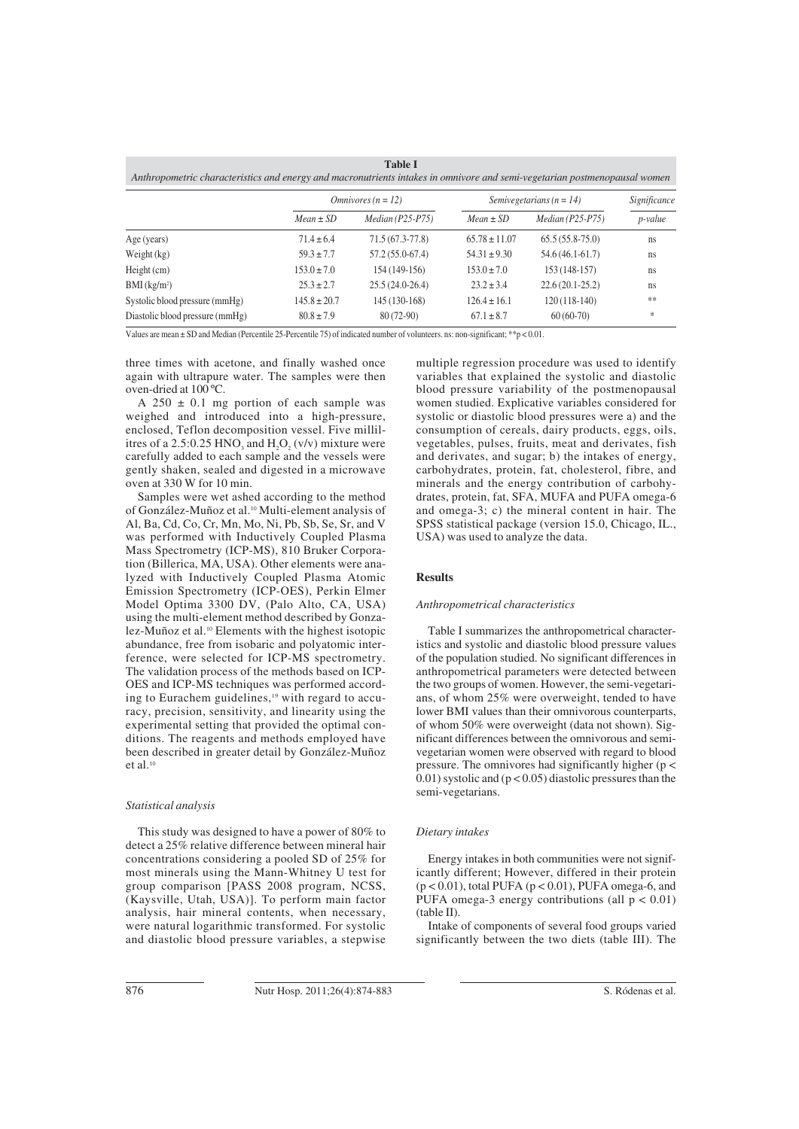| <b>Table I</b><br>Anthropometric characteristics and energy and macronutrients intakes in omnivore and semi-vegetarian postmenopausal women |                  |                             |                              |                    |              |  |  |
|---------------------------------------------------------------------------------------------------------------------------------------------|------------------|-----------------------------|------------------------------|--------------------|--------------|--|--|
|                                                                                                                                             |                  | <i>Omnivores</i> $(n = 12)$ | Semivegetarians ( $n = 14$ ) |                    | Significance |  |  |
|                                                                                                                                             | $Mean \pm SD$    | $Median (P25-P75)$          | $Mean \pm SD$                | $Median (P25-P75)$ | p-value      |  |  |
| Age (years)                                                                                                                                 | $71.4 \pm 6.4$   | $71.5(67.3-77.8)$           | $65.78 \pm 11.07$            | $65.5(55.8-75.0)$  | ns           |  |  |
| Weight $(kg)$                                                                                                                               | $59.3 \pm 7.7$   | $57.2(55.0-67.4)$           | $54.31 \pm 9.30$             | $54.6(46.1-61.7)$  | ns           |  |  |
| Height (cm)                                                                                                                                 | $153.0 \pm 7.0$  | 154 (149-156)               | $153.0 \pm 7.0$              | $153(148-157)$     | ns           |  |  |
| $BMI$ (kg/m <sup>2</sup> )                                                                                                                  | $25.3 \pm 2.7$   | $25.5(24.0-26.4)$           | $23.2 \pm 3.4$               | $22.6(20.1-25.2)$  | ns           |  |  |
| Systolic blood pressure (mmHg)                                                                                                              | $145.8 \pm 20.7$ | 145 (130-168)               | $126.4 \pm 16.1$             | $120(118-140)$     | **           |  |  |
| Diastolic blood pressure (mmHg)                                                                                                             | $80.8 \pm 7.9$   | 80 (72-90)                  | $67.1 \pm 8.7$               | $60(60-70)$        | $\ast$       |  |  |

Values are mean ± SD and Median (Percentile 25-Percentile 75) of indicated number of volunteers. ns: non-significant; \*\*p < 0.01.

three times with acetone, and finally washed once again with ultrapure water. The samples were then oven-dried at 100 ºC.

A  $250 \pm 0.1$  mg portion of each sample was weighed and introduced into a high-pressure, enclosed, Teflon decomposition vessel. Five millilitres of a 2.5:0.25 HNO<sub>3</sub> and  $H_2O_2$  (v/v) mixture were carefully added to each sample and the vessels were gently shaken, sealed and digested in a microwave oven at 330 W for 10 min.

Samples were wet ashed according to the method of González-Muñoz et al.10 Multi-element analysis of Al, Ba, Cd, Co, Cr, Mn, Mo, Ni, Pb, Sb, Se, Sr, and V was performed with Inductively Coupled Plasma Mass Spectrometry (ICP-MS), 810 Bruker Corporation (Billerica, MA, USA). Other elements were analyzed with Inductively Coupled Plasma Atomic Emission Spectrometry (ICP-OES), Perkin Elmer Model Optima 3300 DV, (Palo Alto, CA, USA) using the multi-element method described by Gonzalez-Muñoz et al.10 Elements with the highest isotopic abundance, free from isobaric and polyatomic interference, were selected for ICP-MS spectrometry. The validation process of the methods based on ICP-OES and ICP-MS techniques was performed according to Eurachem guidelines,<sup>19</sup> with regard to accuracy, precision, sensitivity, and linearity using the experimental setting that provided the optimal conditions. The reagents and methods employed have been described in greater detail by González-Muñoz et al. $10$ 

## *Statistical analysis*

This study was designed to have a power of 80% to detect a 25% relative difference between mineral hair concentrations considering a pooled SD of 25% for most minerals using the Mann-Whitney U test for group comparison [PASS 2008 program, NCSS, (Kaysville, Utah, USA)]. To perform main factor analysis, hair mineral contents, when necessary, were natural logarithmic transformed. For systolic and diastolic blood pressure variables, a stepwise multiple regression procedure was used to identify variables that explained the systolic and diastolic blood pressure variability of the postmenopausal women studied. Explicative variables considered for systolic or diastolic blood pressures were a) and the consumption of cereals, dairy products, eggs, oils, vegetables, pulses, fruits, meat and derivates, fish and derivates, and sugar; b) the intakes of energy, carbohydrates, protein, fat, cholesterol, fibre, and minerals and the energy contribution of carbohydrates, protein, fat, SFA, MUFA and PUFA omega-6 and omega-3; c) the mineral content in hair. The SPSS statistical package (version 15.0, Chicago, IL., USA) was used to analyze the data.

## **Results**

#### *Anthropometrical characteristics*

Table I summarizes the anthropometrical characteristics and systolic and diastolic blood pressure values of the population studied. No significant differences in anthropometrical parameters were detected between the two groups of women. However, the semi-vegetarians, of whom 25% were overweight, tended to have lower BMI values than their omnivorous counterparts, of whom 50% were overweight (data not shown). Significant differences between the omnivorous and semivegetarian women were observed with regard to blood pressure. The omnivores had significantly higher (p <  $(0.01)$  systolic and  $(p < 0.05)$  diastolic pressures than the semi-vegetarians.

## *Dietary intakes*

Energy intakes in both communities were not significantly different; However, differed in their protein  $(p < 0.01)$ , total PUFA  $(p < 0.01)$ , PUFA omega-6, and PUFA omega-3 energy contributions (all  $p < 0.01$ ) (table II).

Intake of components of several food groups varied significantly between the two diets (table III). The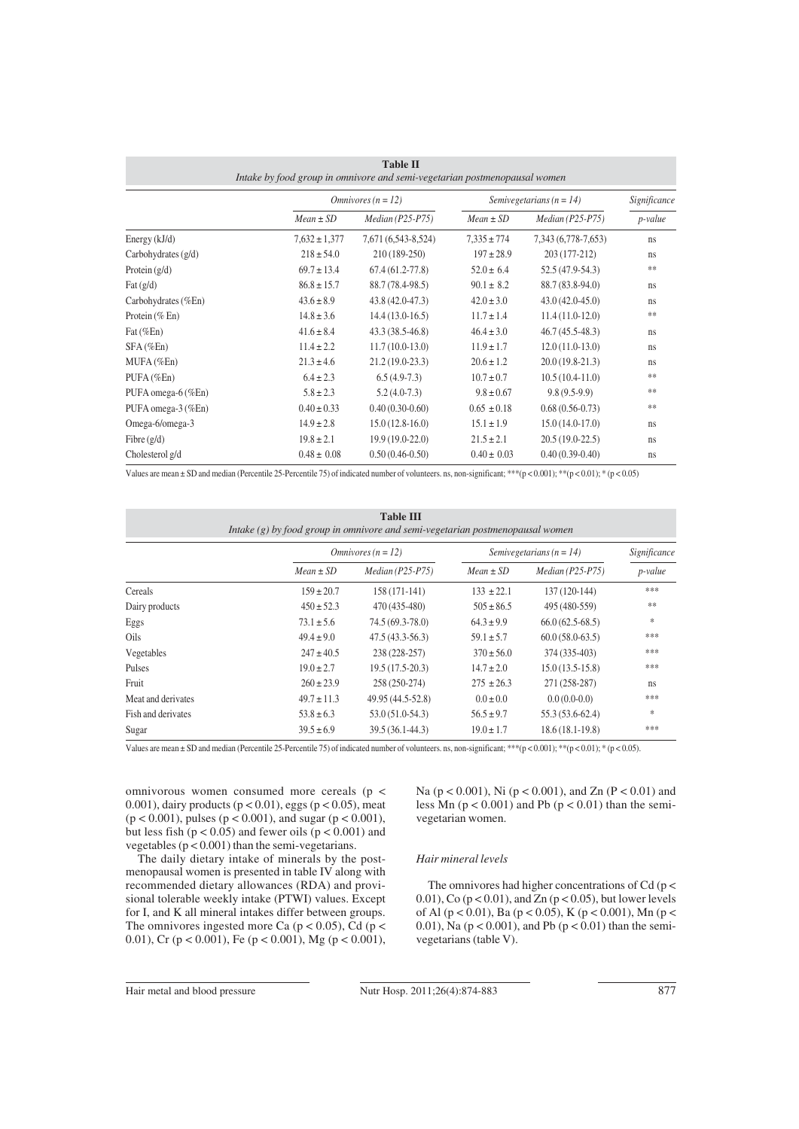| <b>Table II</b><br>Intake by food group in omnivore and semi-vegetarian postmenopausal women |                   |                             |                 |                              |         |  |  |
|----------------------------------------------------------------------------------------------|-------------------|-----------------------------|-----------------|------------------------------|---------|--|--|
|                                                                                              |                   | <i>Omnivores</i> $(n = 12)$ |                 | Semivegetarians ( $n = 14$ ) |         |  |  |
|                                                                                              | $Mean \pm SD$     | $Median (P25-P75)$          | $Mean \pm SD$   | $Median (P25-P75)$           | p-value |  |  |
| Energy (kJ/d)                                                                                | $7.632 \pm 1.377$ | 7,671 (6,543-8,524)         | $7.335 \pm 774$ | 7,343 (6,778-7,653)          | ns      |  |  |
| Carbohydrates $(g/d)$                                                                        | $218 \pm 54.0$    | 210 (189-250)               | $197 \pm 28.9$  | 203 (177-212)                | ns      |  |  |
| Protein $(g/d)$                                                                              | $69.7 \pm 13.4$   | $67.4(61.2 - 77.8)$         | $52.0 \pm 6.4$  | $52.5(47.9-54.3)$            | **      |  |  |
| Fat $(g/d)$                                                                                  | $86.8 \pm 15.7$   | 88.7 (78.4-98.5)            | $90.1 \pm 8.2$  | 88.7 (83.8-94.0)             | ns      |  |  |
| Carbohydrates (%En)                                                                          | $43.6 \pm 8.9$    | $43.8(42.0 - 47.3)$         | $42.0 \pm 3.0$  | $43.0(42.0-45.0)$            | ns      |  |  |
| Protein $(\%$ En)                                                                            | $14.8 \pm 3.6$    | $14.4(13.0-16.5)$           | $11.7 \pm 1.4$  | $11.4(11.0-12.0)$            | **      |  |  |
| Fat $(\%En)$                                                                                 | $41.6 \pm 8.4$    | $43.3(38.5 - 46.8)$         | $46.4 \pm 3.0$  | $46.7(45.5-48.3)$            | ns      |  |  |
| $SFA$ (%En)                                                                                  | $11.4 \pm 2.2$    | $11.7(10.0-13.0)$           | $11.9 \pm 1.7$  | $12.0(11.0-13.0)$            | ns      |  |  |
| MUFA (%En)                                                                                   | $21.3 \pm 4.6$    | $21.2(19.0-23.3)$           | $20.6 \pm 1.2$  | $20.0(19.8-21.3)$            | ns      |  |  |
| PUFA (%En)                                                                                   | $6.4 \pm 2.3$     | $6.5(4.9-7.3)$              | $10.7 \pm 0.7$  | $10.5(10.4-11.0)$            | **      |  |  |
| PUFA omega-6 (%En)                                                                           | $5.8 \pm 2.3$     | $5.2(4.0-7.3)$              | $9.8 \pm 0.67$  | $9.8(9.5-9.9)$               | **      |  |  |
| PUFA omega-3 (%En)                                                                           | $0.40 \pm 0.33$   | $0.40(0.30-0.60)$           | $0.65 \pm 0.18$ | $0.68(0.56-0.73)$            | **      |  |  |
| Omega-6/omega-3                                                                              | $14.9 \pm 2.8$    | $15.0(12.8-16.0)$           | $15.1 \pm 1.9$  | $15.0(14.0-17.0)$            | ns      |  |  |
| Fibre $(g/d)$                                                                                | $19.8 \pm 2.1$    | $19.9(19.0-22.0)$           | $21.5 \pm 2.1$  | $20.5(19.0-22.5)$            | ns      |  |  |
| Cholesterol g/d                                                                              | $0.48 \pm 0.08$   | $0.50(0.46-0.50)$           | $0.40 \pm 0.03$ | $0.40(0.39-0.40)$            | ns      |  |  |

Values are mean ± SD and median (Percentile 25-Percentile 75) of indicated number of volunteers. ns, non-significant; \*\*\*(p < 0.001); \*\*(p < 0.01); \* (p < 0.05)

| <b>Table III</b><br>Intake $(g)$ by food group in omnivore and semi-vegetarian postmenopausal women |                 |                             |                |                              |         |  |  |
|-----------------------------------------------------------------------------------------------------|-----------------|-----------------------------|----------------|------------------------------|---------|--|--|
|                                                                                                     |                 | <i>Omnivores</i> $(n = 12)$ |                | Semivegetarians ( $n = 14$ ) |         |  |  |
|                                                                                                     | $Mean \pm SD$   | $Median (P25-P75)$          | $Mean \pm SD$  | $Median (P25-P75)$           | p-value |  |  |
| Cereals                                                                                             | $159 \pm 20.7$  | $158(171-141)$              | $133 \pm 22.1$ | 137 (120-144)                | ***     |  |  |
| Dairy products                                                                                      | $450 \pm 52.3$  | 470 (435-480)               | $505 \pm 86.5$ | 495 (480-559)                | **      |  |  |
| Eggs                                                                                                | $73.1 \pm 5.6$  | 74.5 (69.3-78.0)            | $64.3 \pm 9.9$ | $66.0(62.5-68.5)$            | *       |  |  |
| Oils                                                                                                | $49.4 \pm 9.0$  | $47.5(43.3-56.3)$           | $59.1 \pm 5.7$ | $60.0(58.0-63.5)$            | ***     |  |  |
| Vegetables                                                                                          | $247 \pm 40.5$  | 238 (228-257)               | $370 \pm 56.0$ | 374 (335-403)                | ***     |  |  |
| Pulses                                                                                              | $19.0 \pm 2.7$  | $19.5(17.5-20.3)$           | $14.7 \pm 2.0$ | $15.0(13.5-15.8)$            | ***     |  |  |
| Fruit                                                                                               | $260 \pm 23.9$  | 258 (250-274)               | $275 \pm 26.3$ | 271 (258-287)                | ns      |  |  |
| Meat and derivates                                                                                  | $49.7 \pm 11.3$ | 49.95 (44.5-52.8)           | $0.0 \pm 0.0$  | $0.0(0.0-0.0)$               | ***     |  |  |
| Fish and derivates                                                                                  | $53.8 \pm 6.3$  | $53.0(51.0-54.3)$           | $56.5 \pm 9.7$ | $55.3(53.6-62.4)$            | $\ast$  |  |  |
| Sugar                                                                                               | $39.5 \pm 6.9$  | $39.5(36.1-44.3)$           | $19.0 \pm 1.7$ | $18.6(18.1-19.8)$            | ***     |  |  |

Values are mean  $\pm$  SD and median (Percentile 25-Percentile 75) of indicated number of volunteers. ns, non-significant; \*\*\*(p < 0.001); \*\*(p < 0.01); \* (p < 0.05).

omnivorous women consumed more cereals (p < 0.001), dairy products ( $p < 0.01$ ), eggs ( $p < 0.05$ ), meat (p < 0.001), pulses (p < 0.001), and sugar (p < 0.001), but less fish ( $p < 0.05$ ) and fewer oils ( $p < 0.001$ ) and vegetables (p < 0.001) than the semi-vegetarians.

The daily dietary intake of minerals by the postmenopausal women is presented in table IV along with recommended dietary allowances (RDA) and provisional tolerable weekly intake (PTWI) values. Except for I, and K all mineral intakes differ between groups. The omnivores ingested more Ca ( $p < 0.05$ ), Cd ( $p <$ 0.01), Cr ( $p < 0.001$ ), Fe ( $p < 0.001$ ), Mg ( $p < 0.001$ ),

Na (p < 0.001), Ni (p < 0.001), and Zn (P < 0.01) and less  $\overline{M}$ n (p < 0.001) and Pb (p < 0.01) than the semivegetarian women.

## *Hair mineral levels*

The omnivores had higher concentrations of Cd (p < 0.01), Co  $(p < 0.01)$ , and Zn  $(p < 0.05)$ , but lower levels of Al ( $p < 0.01$ ), Ba ( $p < 0.05$ ), K ( $p < 0.001$ ), Mn ( $p <$ 0.01), Na ( $p < 0.001$ ), and Pb ( $p < 0.01$ ) than the semivegetarians (table V).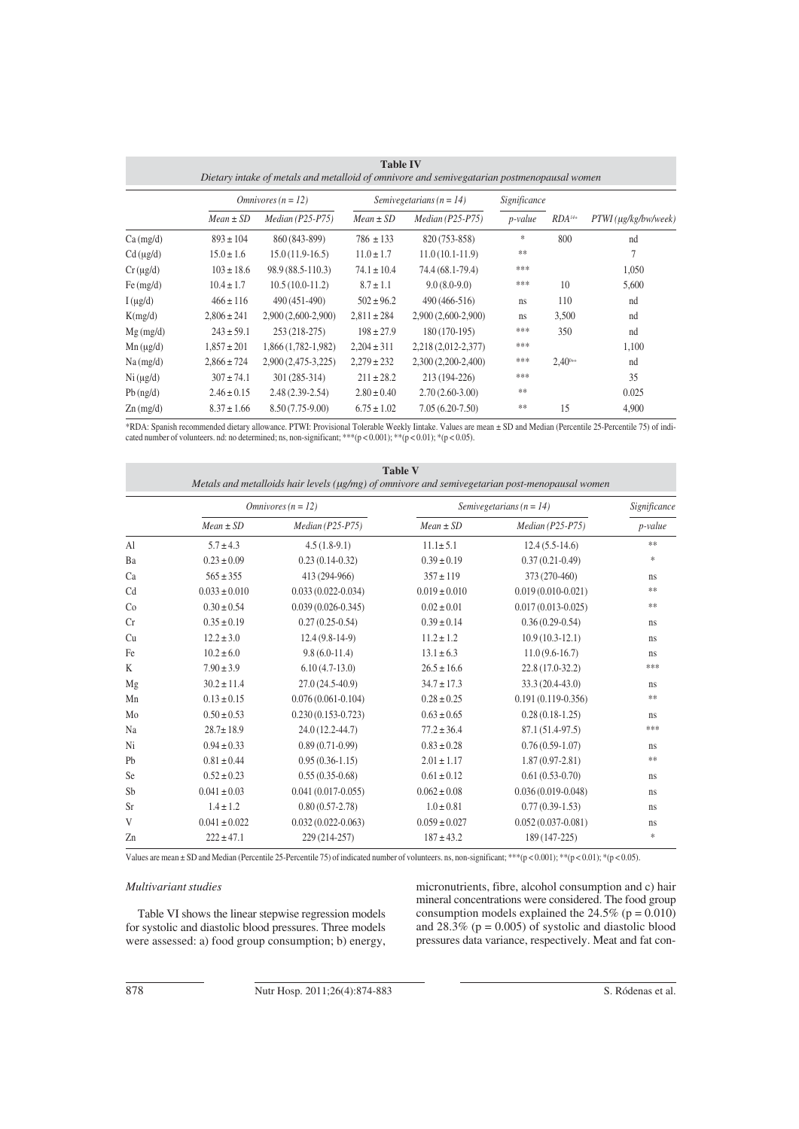| <b>Table IV</b><br>Dietary intake of metals and metalloid of omnivore and semivegatarian postmenopausal women |                       |                      |                              |                      |              |                      |                              |
|---------------------------------------------------------------------------------------------------------------|-----------------------|----------------------|------------------------------|----------------------|--------------|----------------------|------------------------------|
|                                                                                                               | $O$ mnivores (n = 12) |                      | Semivegetarians ( $n = 14$ ) |                      | Significance |                      |                              |
|                                                                                                               | $Mean \pm SD$         | $Median (P25-P75)$   | $Mean \pm SD$                | $Median (P25-P75)$   | p-value      | $RDA$ <sup>14+</sup> | $PTWI$ ( $\mu$ g/kg/bw/week) |
| $Ca$ (mg/d)                                                                                                   | $893 \pm 104$         | 860 (843-899)        | $786 \pm 133$                | 820 (753-858)        | *            | 800                  | nd                           |
| $Cd$ ( $\mu$ g/d)                                                                                             | $15.0 \pm 1.6$        | $15.0(11.9-16.5)$    | $11.0 \pm 1.7$               | $11.0(10.1-11.9)$    | $\pm\pm$     |                      |                              |
| $Cr(\mu g/d)$                                                                                                 | $103 \pm 18.6$        | 98.9 (88.5-110.3)    | $74.1 \pm 10.4$              | 74.4 (68.1-79.4)     | ***          |                      | 1,050                        |
| Fe $(mg/d)$                                                                                                   | $10.4 \pm 1.7$        | $10.5(10.0-11.2)$    | $8.7 \pm 1.1$                | $9.0(8.0-9.0)$       | ***          | 10                   | 5,600                        |
| $I(\mu g/d)$                                                                                                  | $466 \pm 116$         | 490 (451-490)        | $502 \pm 96.2$               | $490(466-516)$       | ns           | 110                  | nd                           |
| K(mg/d)                                                                                                       | $2,806 \pm 241$       | $2,900(2,600-2,900)$ | $2,811 \pm 284$              | 2,900 (2,600-2,900)  | ns           | 3,500                | nd                           |
| $Mg$ (mg/d)                                                                                                   | $243 \pm 59.1$        | $253(218-275)$       | $198 \pm 27.9$               | $180(170-195)$       | ***          | 350                  | nd                           |
| $Mn(\mu g/d)$                                                                                                 | $1,857 \pm 201$       | 1,866 (1,782-1,982)  | $2,204 \pm 311$              | 2,218 (2,012-2,377)  | ***          |                      | 1,100                        |
| $Na$ (mg/d)                                                                                                   | $2,866 \pm 724$       | 2,900 (2,475-3,225)  | $2,279 \pm 232$              | $2,300(2,200-2,400)$ | ***          | $2.40^{0+1}$         | nd                           |
| Ni (µg/d)                                                                                                     | $307 \pm 74.1$        | 301 (285-314)        | $211 \pm 28.2$               | $213(194-226)$       | ***          |                      | 35                           |
| $Pb$ (ng/d)                                                                                                   | $2.46 \pm 0.15$       | $2.48(2.39-2.54)$    | $2.80 \pm 0.40$              | $2.70(2.60-3.00)$    | **           |                      | 0.025                        |
| $Zn$ (mg/d)                                                                                                   | $8.37 \pm 1.66$       | $8.50(7.75-9.00)$    | $6.75 \pm 1.02$              | $7.05(6.20-7.50)$    | **           | 15                   | 4,900                        |

\*RDA: Spanish recommended dietary allowance. PTWI: Provisional Tolerable Weekly Iintake. Values are mean ± SD and Median (Percentile 25-Percentile 75) of indicated number of volunteers. nd: no determined; ns, non-significant; \*\*\*(p < 0.001); \*\*(p < 0.01); \*(p < 0.05).

| <b>Table V</b><br>Metals and metalloids hair levels (µg/mg) of omnivore and semivegetarian post-menopausal women |                       |                        |                              |                        |            |  |
|------------------------------------------------------------------------------------------------------------------|-----------------------|------------------------|------------------------------|------------------------|------------|--|
|                                                                                                                  | $O$ mnivores (n = 12) |                        | Semivegetarians ( $n = 14$ ) | Significance           |            |  |
|                                                                                                                  | $Mean \pm SD$         | $Median (P25-P75)$     | $Mean \pm SD$                | $Median (P25-P75)$     | p-value    |  |
| Al                                                                                                               | $5.7 \pm 4.3$         | $4.5(1.8-9.1)$         | $11.1 \pm 5.1$               | $12.4(5.5-14.6)$       | $\ast\ast$ |  |
| Ba                                                                                                               | $0.23 \pm 0.09$       | $0.23(0.14-0.32)$      | $0.39 \pm 0.19$              | $0.37(0.21-0.49)$      | *          |  |
| Ca                                                                                                               | $565 \pm 355$         | 413 (294-966)          | $357 \pm 119$                | 373 (270-460)          | ns         |  |
| Cd                                                                                                               | $0.033 \pm 0.010$     | $0.033(0.022 - 0.034)$ | $0.019 \pm 0.010$            | $0.019(0.010 - 0.021)$ | $\ast\ast$ |  |
| Co                                                                                                               | $0.30 \pm 0.54$       | $0.039(0.026 - 0.345)$ | $0.02 \pm 0.01$              | $0.017(0.013 - 0.025)$ | $\ast\ast$ |  |
| Cr                                                                                                               | $0.35 \pm 0.19$       | $0.27(0.25-0.54)$      | $0.39 \pm 0.14$              | $0.36(0.29-0.54)$      | ns         |  |
| Cu                                                                                                               | $12.2 \pm 3.0$        | $12.4(9.8-14-9)$       | $11.2 \pm 1.2$               | $10.9(10.3-12.1)$      | ns         |  |
| Fe                                                                                                               | $10.2 \pm 6.0$        | $9.8(6.0-11.4)$        | $13.1 \pm 6.3$               | $11.0(9.6-16.7)$       | ns         |  |
| K                                                                                                                | $7.90 \pm 3.9$        | $6.10(4.7-13.0)$       | $26.5 \pm 16.6$              | 22.8 (17.0-32.2)       | ***        |  |
| Mg                                                                                                               | $30.2 \pm 11.4$       | $27.0(24.5-40.9)$      | $34.7 \pm 17.3$              | 33.3 (20.4-43.0)       | ns         |  |
| Mn                                                                                                               | $0.13 \pm 0.15$       | $0.076(0.061 - 0.104)$ | $0.28 \pm 0.25$              | $0.191(0.119 - 0.356)$ | $\ast\ast$ |  |
| Mo                                                                                                               | $0.50 \pm 0.53$       | $0.230(0.153 - 0.723)$ | $0.63 \pm 0.65$              | $0.28(0.18-1.25)$      | ns         |  |
| Na                                                                                                               | $28.7 \pm 18.9$       | 24.0 (12.2-44.7)       | $77.2 \pm 36.4$              | 87.1 (51.4-97.5)       | ***        |  |
| Ni                                                                                                               | $0.94 \pm 0.33$       | $0.89(0.71-0.99)$      | $0.83 \pm 0.28$              | $0.76(0.59-1.07)$      | ns         |  |
| Pb                                                                                                               | $0.81 \pm 0.44$       | $0.95(0.36-1.15)$      | $2.01 \pm 1.17$              | $1.87(0.97 - 2.81)$    | $\ast\ast$ |  |
| Se                                                                                                               | $0.52 \pm 0.23$       | $0.55(0.35-0.68)$      | $0.61 \pm 0.12$              | $0.61(0.53-0.70)$      | ns         |  |
| Sb                                                                                                               | $0.041 \pm 0.03$      | $0.041(0.017-0.055)$   | $0.062 \pm 0.08$             | $0.036(0.019 - 0.048)$ | ns         |  |
| <b>Sr</b>                                                                                                        | $1.4 \pm 1.2$         | $0.80(0.57-2.78)$      | $1.0 \pm 0.81$               | $0.77(0.39-1.53)$      | ns         |  |
| V                                                                                                                | $0.041 \pm 0.022$     | $0.032(0.022 - 0.063)$ | $0.059 \pm 0.027$            | $0.052(0.037 - 0.081)$ | ns         |  |
| Zn                                                                                                               | $222 \pm 47.1$        | 229 (214-257)          | $187 \pm 43.2$               | 189 (147-225)          | $\ast$     |  |

Values are mean ± SD and Median (Percentile 25-Percentile 75) of indicated number of volunteers. ns, non-significant; \*\*\*(p < 0.001); \*\*(p < 0.01); \*(p < 0.05).

## *Multivariant studies*

Table VI shows the linear stepwise regression models for systolic and diastolic blood pressures. Three models were assessed: a) food group consumption; b) energy, micronutrients, fibre, alcohol consumption and c) hair mineral concentrations were considered. The food group consumption models explained the  $24.5\%$  (p = 0.010) and  $28.3\%$  (p = 0.005) of systolic and diastolic blood pressures data variance, respectively. Meat and fat con-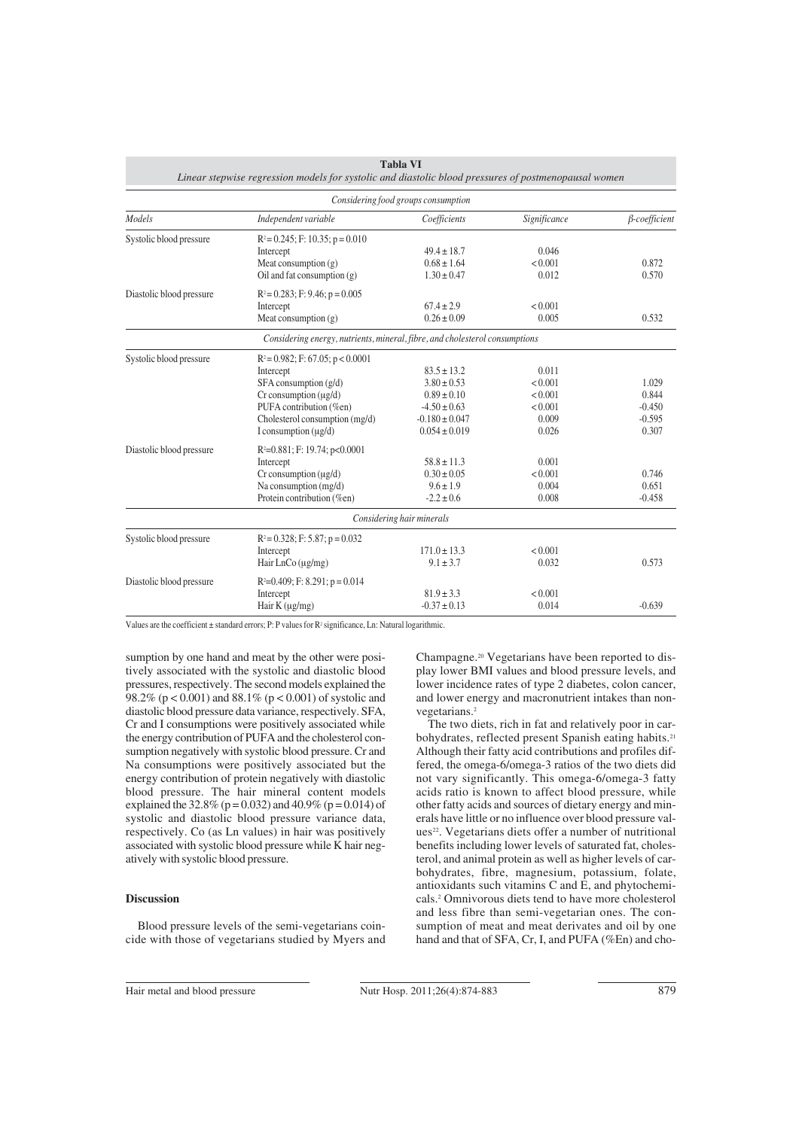| Linear stepwise regression models for systolic and diastolic blood pressures of postmenopausal women |                                                                             |                           |              |                      |  |  |
|------------------------------------------------------------------------------------------------------|-----------------------------------------------------------------------------|---------------------------|--------------|----------------------|--|--|
| Considering food groups consumption                                                                  |                                                                             |                           |              |                      |  |  |
| <b>Models</b>                                                                                        | Independent variable                                                        | Coefficients              | Significance | $\beta$ -coefficient |  |  |
| Systolic blood pressure                                                                              | $R^2 = 0.245$ ; F: 10.35; p = 0.010                                         |                           |              |                      |  |  |
|                                                                                                      | Intercept                                                                   | $49.4 \pm 18.7$           | 0.046        |                      |  |  |
|                                                                                                      | Meat consumption $(g)$                                                      | $0.68 \pm 1.64$           | < 0.001      | 0.872                |  |  |
|                                                                                                      | Oil and fat consumption $(g)$                                               | $1.30 \pm 0.47$           | 0.012        | 0.570                |  |  |
| Diastolic blood pressure                                                                             | $R^2 = 0.283$ ; F: 9.46; p = 0.005                                          |                           |              |                      |  |  |
|                                                                                                      | Intercept                                                                   | $67.4 \pm 2.9$            | < 0.001      |                      |  |  |
|                                                                                                      | Meat consumption $(g)$                                                      | $0.26 \pm 0.09$           | 0.005        | 0.532                |  |  |
|                                                                                                      | Considering energy, nutrients, mineral, fibre, and cholesterol consumptions |                           |              |                      |  |  |
| Systolic blood pressure                                                                              | $R^2 = 0.982$ ; F: 67.05; p < 0.0001                                        |                           |              |                      |  |  |
|                                                                                                      | Intercept                                                                   | $83.5 \pm 13.2$           | 0.011        |                      |  |  |
|                                                                                                      | $SFA$ consumption $(g/d)$                                                   | $3.80 \pm 0.53$           | < 0.001      | 1.029                |  |  |
|                                                                                                      | $Cr$ consumption ( $\mu$ g/d)                                               | $0.89 \pm 0.10$           | < 0.001      | 0.844                |  |  |
|                                                                                                      | PUFA contribution (%en)                                                     | $-4.50 \pm 0.63$          | < 0.001      | $-0.450$             |  |  |
|                                                                                                      | Cholesterol consumption (mg/d)                                              | $-0.180 \pm 0.047$        | 0.009        | $-0.595$             |  |  |
|                                                                                                      | I consumption $(\mu g/d)$                                                   | $0.054 \pm 0.019$         | 0.026        | 0.307                |  |  |
| Diastolic blood pressure                                                                             | $R^2=0.881$ ; F: 19.74; p<0.0001                                            |                           |              |                      |  |  |
|                                                                                                      | Intercept                                                                   | $58.8 \pm 11.3$           | 0.001        |                      |  |  |
|                                                                                                      | $Cr$ consumption $(\mu g/d)$                                                | $0.30 \pm 0.05$           | < 0.001      | 0.746                |  |  |
|                                                                                                      | Na consumption (mg/d)                                                       | $9.6 \pm 1.9$             | 0.004        | 0.651                |  |  |
|                                                                                                      | Protein contribution (%en)                                                  | $-2.2 \pm 0.6$            | 0.008        | $-0.458$             |  |  |
|                                                                                                      |                                                                             | Considering hair minerals |              |                      |  |  |
| Systolic blood pressure                                                                              | $R^2 = 0.328$ ; F: 5.87; p = 0.032                                          |                           |              |                      |  |  |
|                                                                                                      | Intercept                                                                   | $171.0 \pm 13.3$          | < 0.001      |                      |  |  |
|                                                                                                      | Hair $LnCo$ ( $\mu$ g/mg)                                                   | $9.1 \pm 3.7$             | 0.032        | 0.573                |  |  |
| Diastolic blood pressure                                                                             | $R^2=0.409$ ; F: 8.291; p = 0.014                                           |                           |              |                      |  |  |
|                                                                                                      | Intercept                                                                   | $81.9 \pm 3.3$            | < 0.001      |                      |  |  |
|                                                                                                      | Hair K $(\mu g/mg)$                                                         | $-0.37 \pm 0.13$          | 0.014        | $-0.639$             |  |  |
|                                                                                                      |                                                                             |                           |              |                      |  |  |

**Tabla VI**

Values are the coefficient ± standard errors; P: P values for R<sup>2</sup> significance, Ln: Natural logarithmic.

sumption by one hand and meat by the other were positively associated with the systolic and diastolic blood pressures, respectively. The second models explained the 98.2% ( $p < 0.001$ ) and 88.1% ( $p < 0.001$ ) of systolic and diastolic blood pressure data variance, respectively. SFA, Cr and I consumptions were positively associated while the energy contribution of PUFA and the cholesterol consumption negatively with systolic blood pressure. Cr and Na consumptions were positively associated but the energy contribution of protein negatively with diastolic blood pressure. The hair mineral content models explained the 32.8% (p = 0.032) and 40.9% (p = 0.014) of systolic and diastolic blood pressure variance data, respectively. Co (as Ln values) in hair was positively associated with systolic blood pressure while K hair negatively with systolic blood pressure.

#### **Discussion**

Blood pressure levels of the semi-vegetarians coincide with those of vegetarians studied by Myers and Champagne.20 Vegetarians have been reported to display lower BMI values and blood pressure levels, and lower incidence rates of type 2 diabetes, colon cancer, and lower energy and macronutrient intakes than nonvegetarians.<sup>2</sup>

The two diets, rich in fat and relatively poor in carbohydrates, reflected present Spanish eating habits.<sup>21</sup> Although their fatty acid contributions and profiles differed, the omega-6/omega-3 ratios of the two diets did not vary significantly. This omega-6/omega-3 fatty acids ratio is known to affect blood pressure, while other fatty acids and sources of dietary energy and minerals have little or no influence over blood pressure values<sup>22</sup>. Vegetarians diets offer a number of nutritional benefits including lower levels of saturated fat, cholesterol, and animal protein as well as higher levels of carbohydrates, fibre, magnesium, potassium, folate, antioxidants such vitamins C and E, and phytochemicals.2 Omnivorous diets tend to have more cholesterol and less fibre than semi-vegetarian ones. The consumption of meat and meat derivates and oil by one hand and that of SFA, Cr, I, and PUFA (%En) and cho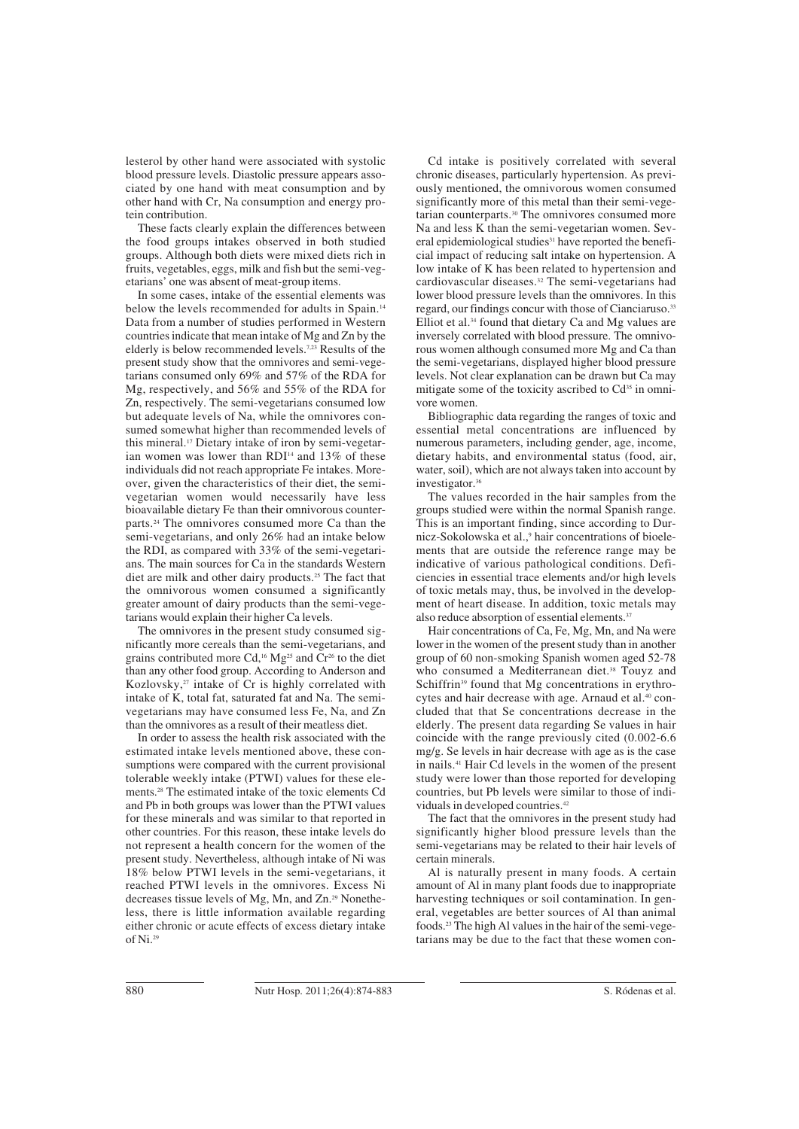lesterol by other hand were associated with systolic blood pressure levels. Diastolic pressure appears associated by one hand with meat consumption and by other hand with Cr, Na consumption and energy protein contribution.

These facts clearly explain the differences between the food groups intakes observed in both studied groups. Although both diets were mixed diets rich in fruits, vegetables, eggs, milk and fish but the semi-vegetarians' one was absent of meat-group items.

In some cases, intake of the essential elements was below the levels recommended for adults in Spain.<sup>14</sup> Data from a number of studies performed in Western countries indicate that mean intake of Mg and Zn by the elderly is below recommended levels.7,23 Results of the present study show that the omnivores and semi-vegetarians consumed only 69% and 57% of the RDA for Mg, respectively, and 56% and 55% of the RDA for Zn, respectively. The semi-vegetarians consumed low but adequate levels of Na, while the omnivores consumed somewhat higher than recommended levels of this mineral.17 Dietary intake of iron by semi-vegetarian women was lower than RDI<sup>14</sup> and 13% of these individuals did not reach appropriate Fe intakes. Moreover, given the characteristics of their diet, the semivegetarian women would necessarily have less bioavailable dietary Fe than their omnivorous counterparts.24 The omnivores consumed more Ca than the semi-vegetarians, and only 26% had an intake below the RDI, as compared with 33% of the semi-vegetarians. The main sources for Ca in the standards Western diet are milk and other dairy products.25 The fact that the omnivorous women consumed a significantly greater amount of dairy products than the semi-vegetarians would explain their higher Ca levels.

The omnivores in the present study consumed significantly more cereals than the semi-vegetarians, and grains contributed more Cd,16 Mg25 and Cr26 to the diet than any other food group. According to Anderson and Kozlovsky, $27$  intake of Cr is highly correlated with intake of K, total fat, saturated fat and Na. The semivegetarians may have consumed less Fe, Na, and Zn than the omnivores as a result of their meatless diet.

In order to assess the health risk associated with the estimated intake levels mentioned above, these consumptions were compared with the current provisional tolerable weekly intake (PTWI) values for these elements.28 The estimated intake of the toxic elements Cd and Pb in both groups was lower than the PTWI values for these minerals and was similar to that reported in other countries. For this reason, these intake levels do not represent a health concern for the women of the present study. Nevertheless, although intake of Ni was 18% below PTWI levels in the semi-vegetarians, it reached PTWI levels in the omnivores. Excess Ni decreases tissue levels of Mg, Mn, and Zn.29 Nonetheless, there is little information available regarding either chronic or acute effects of excess dietary intake of  $Ni<sup>29</sup>$ 

Cd intake is positively correlated with several chronic diseases, particularly hypertension. As previously mentioned, the omnivorous women consumed significantly more of this metal than their semi-vegetarian counterparts.30 The omnivores consumed more Na and less K than the semi-vegetarian women. Several epidemiological studies<sup>31</sup> have reported the beneficial impact of reducing salt intake on hypertension. A low intake of K has been related to hypertension and cardiovascular diseases.32 The semi-vegetarians had lower blood pressure levels than the omnivores. In this regard, our findings concur with those of Cianciaruso.<sup>33</sup> Elliot et al.34 found that dietary Ca and Mg values are inversely correlated with blood pressure. The omnivorous women although consumed more Mg and Ca than the semi-vegetarians, displayed higher blood pressure levels. Not clear explanation can be drawn but Ca may mitigate some of the toxicity ascribed to Cd<sup>35</sup> in omnivore women.

Bibliographic data regarding the ranges of toxic and essential metal concentrations are influenced by numerous parameters, including gender, age, income, dietary habits, and environmental status (food, air, water, soil), which are not always taken into account by investigator.36

The values recorded in the hair samples from the groups studied were within the normal Spanish range. This is an important finding, since according to Durnicz-Sokolowska et al.,<sup>9</sup> hair concentrations of bioelements that are outside the reference range may be indicative of various pathological conditions. Deficiencies in essential trace elements and/or high levels of toxic metals may, thus, be involved in the development of heart disease. In addition, toxic metals may also reduce absorption of essential elements.<sup>3</sup>

Hair concentrations of Ca, Fe, Mg, Mn, and Na were lower in the women of the present study than in another group of 60 non-smoking Spanish women aged 52-78 who consumed a Mediterranean diet.<sup>38</sup> Touyz and Schiffrin<sup>39</sup> found that Mg concentrations in erythrocytes and hair decrease with age. Arnaud et al.<sup>40</sup> concluded that that Se concentrations decrease in the elderly. The present data regarding Se values in hair coincide with the range previously cited (0.002-6.6 mg/g. Se levels in hair decrease with age as is the case in nails.41 Hair Cd levels in the women of the present study were lower than those reported for developing countries, but Pb levels were similar to those of individuals in developed countries.<sup>42</sup>

The fact that the omnivores in the present study had significantly higher blood pressure levels than the semi-vegetarians may be related to their hair levels of certain minerals.

Al is naturally present in many foods. A certain amount of Al in many plant foods due to inappropriate harvesting techniques or soil contamination. In general, vegetables are better sources of Al than animal foods.23 The high Al values in the hair of the semi-vegetarians may be due to the fact that these women con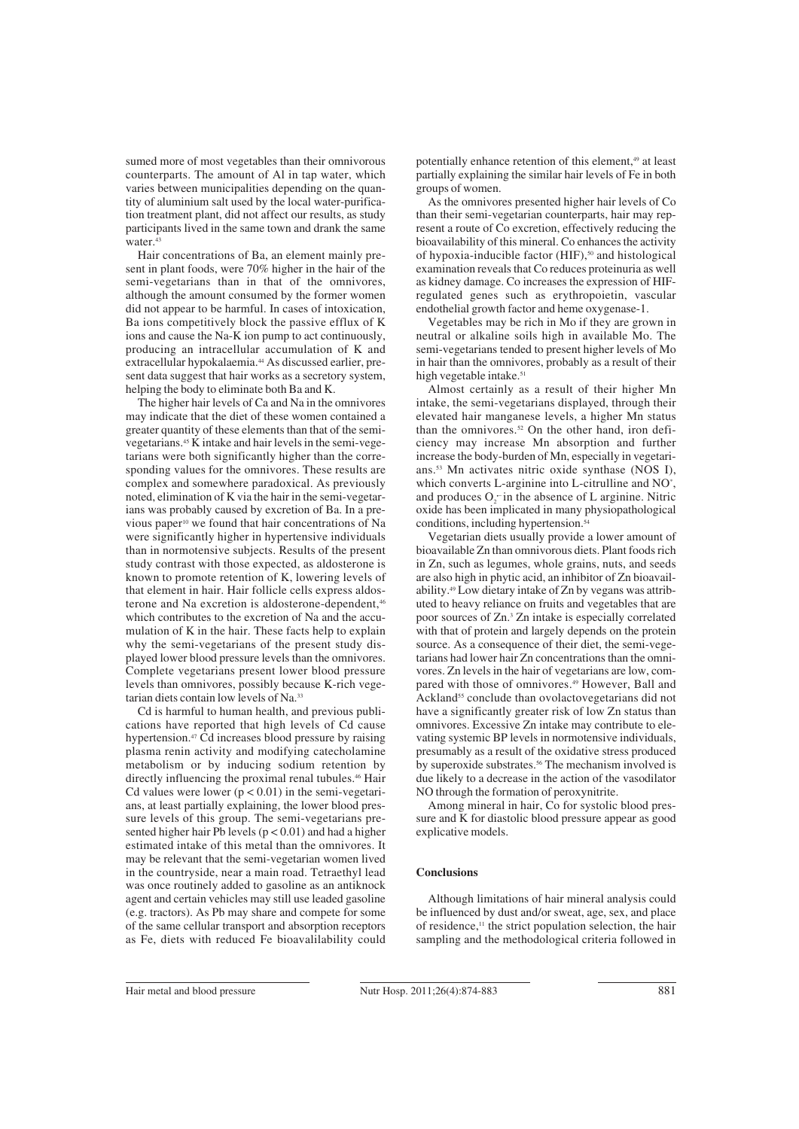sumed more of most vegetables than their omnivorous counterparts. The amount of Al in tap water, which varies between municipalities depending on the quantity of aluminium salt used by the local water-purification treatment plant, did not affect our results, as study participants lived in the same town and drank the same water.<sup>43</sup>

Hair concentrations of Ba, an element mainly present in plant foods, were 70% higher in the hair of the semi-vegetarians than in that of the omnivores, although the amount consumed by the former women did not appear to be harmful. In cases of intoxication, Ba ions competitively block the passive efflux of K ions and cause the Na-K ion pump to act continuously, producing an intracellular accumulation of K and extracellular hypokalaemia.<sup>44</sup> As discussed earlier, present data suggest that hair works as a secretory system, helping the body to eliminate both Ba and K.

The higher hair levels of Ca and Na in the omnivores may indicate that the diet of these women contained a greater quantity of these elements than that of the semivegetarians.45 K intake and hair levels in the semi-vegetarians were both significantly higher than the corresponding values for the omnivores. These results are complex and somewhere paradoxical. As previously noted, elimination of K via the hair in the semi-vegetarians was probably caused by excretion of Ba. In a previous paper<sup>10</sup> we found that hair concentrations of Na were significantly higher in hypertensive individuals than in normotensive subjects. Results of the present study contrast with those expected, as aldosterone is known to promote retention of K, lowering levels of that element in hair. Hair follicle cells express aldosterone and Na excretion is aldosterone-dependent,<sup>46</sup> which contributes to the excretion of Na and the accumulation of K in the hair. These facts help to explain why the semi-vegetarians of the present study displayed lower blood pressure levels than the omnivores. Complete vegetarians present lower blood pressure levels than omnivores, possibly because K-rich vegetarian diets contain low levels of Na.33

Cd is harmful to human health, and previous publications have reported that high levels of Cd cause hypertension.47 Cd increases blood pressure by raising plasma renin activity and modifying catecholamine metabolism or by inducing sodium retention by directly influencing the proximal renal tubules.<sup>46</sup> Hair Cd values were lower  $(p < 0.01)$  in the semi-vegetarians, at least partially explaining, the lower blood pressure levels of this group. The semi-vegetarians presented higher hair Pb levels  $(p < 0.01)$  and had a higher estimated intake of this metal than the omnivores. It may be relevant that the semi-vegetarian women lived in the countryside, near a main road. Tetraethyl lead was once routinely added to gasoline as an antiknock agent and certain vehicles may still use leaded gasoline (e.g. tractors). As Pb may share and compete for some of the same cellular transport and absorption receptors as Fe, diets with reduced Fe bioavalilability could potentially enhance retention of this element,<sup>49</sup> at least partially explaining the similar hair levels of Fe in both groups of women.

As the omnivores presented higher hair levels of Co than their semi-vegetarian counterparts, hair may represent a route of Co excretion, effectively reducing the bioavailability of this mineral. Co enhances the activity of hypoxia-inducible factor (HIF),<sup>50</sup> and histological examination reveals that Co reduces proteinuria as well as kidney damage. Co increases the expression of HIFregulated genes such as erythropoietin, vascular endothelial growth factor and heme oxygenase-1.

Vegetables may be rich in Mo if they are grown in neutral or alkaline soils high in available Mo. The semi-vegetarians tended to present higher levels of Mo in hair than the omnivores, probably as a result of their high vegetable intake.<sup>51</sup>

Almost certainly as a result of their higher Mn intake, the semi-vegetarians displayed, through their elevated hair manganese levels, a higher Mn status than the omnivores.<sup>52</sup> On the other hand, iron deficiency may increase Mn absorption and further increase the body-burden of Mn, especially in vegetarians.53 Mn activates nitric oxide synthase (NOS I), which converts L-arginine into L-citrulline and NO<sup>\*</sup>, and produces  $O_2$  in the absence of L arginine. Nitric oxide has been implicated in many physiopathological conditions, including hypertension. $54$ 

Vegetarian diets usually provide a lower amount of bioavailable Zn than omnivorous diets. Plant foods rich in Zn, such as legumes, whole grains, nuts, and seeds are also high in phytic acid, an inhibitor of Zn bioavailability.49 Low dietary intake of Zn by vegans was attributed to heavy reliance on fruits and vegetables that are poor sources of Zn.3 Zn intake is especially correlated with that of protein and largely depends on the protein source. As a consequence of their diet, the semi-vegetarians had lower hair Zn concentrations than the omnivores. Zn levels in the hair of vegetarians are low, compared with those of omnivores.<sup>49</sup> However, Ball and Ackland<sup>55</sup> conclude than ovolactovegetarians did not have a significantly greater risk of low Zn status than omnivores. Excessive Zn intake may contribute to elevating systemic BP levels in normotensive individuals, presumably as a result of the oxidative stress produced by superoxide substrates.<sup>56</sup> The mechanism involved is due likely to a decrease in the action of the vasodilator NO through the formation of peroxynitrite.

Among mineral in hair, Co for systolic blood pressure and K for diastolic blood pressure appear as good explicative models.

## **Conclusions**

Although limitations of hair mineral analysis could be influenced by dust and/or sweat, age, sex, and place of residence, $\mathbf{u}$  the strict population selection, the hair sampling and the methodological criteria followed in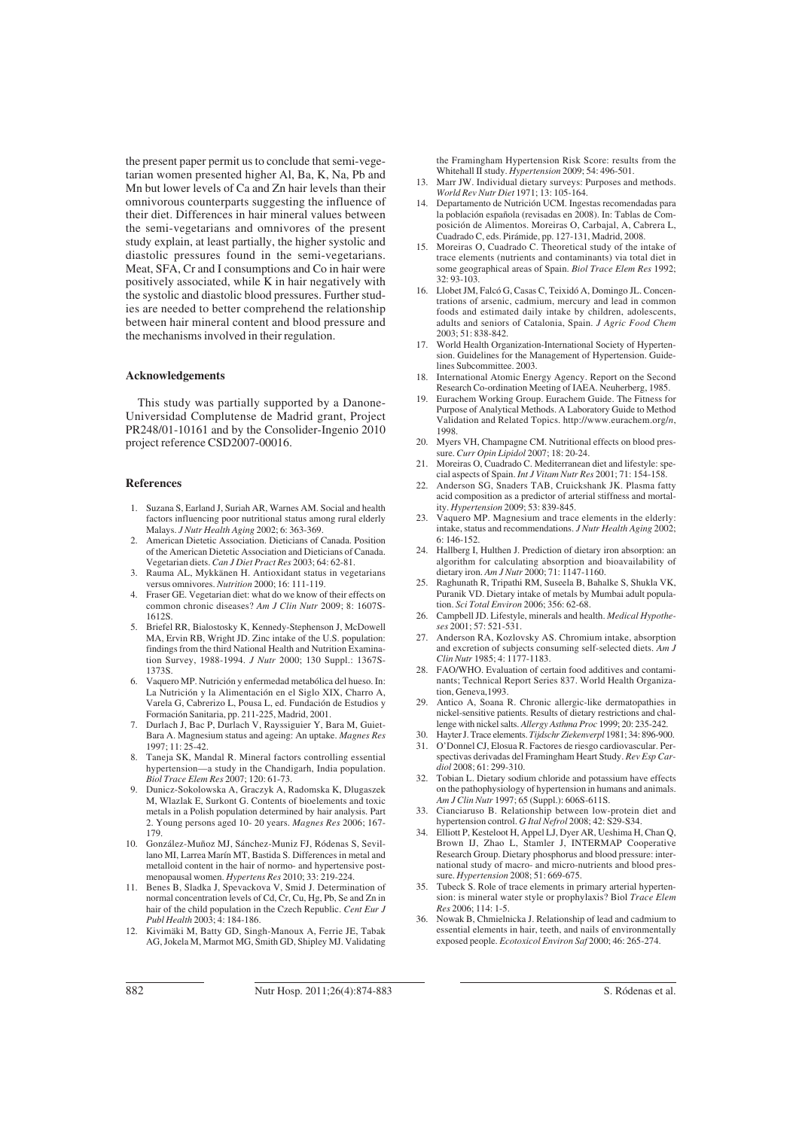the present paper permit us to conclude that semi-vegetarian women presented higher Al, Ba, K, Na, Pb and Mn but lower levels of Ca and Zn hair levels than their omnivorous counterparts suggesting the influence of their diet. Differences in hair mineral values between the semi-vegetarians and omnivores of the present study explain, at least partially, the higher systolic and diastolic pressures found in the semi-vegetarians. Meat, SFA, Cr and I consumptions and Co in hair were positively associated, while K in hair negatively with the systolic and diastolic blood pressures. Further studies are needed to better comprehend the relationship between hair mineral content and blood pressure and the mechanisms involved in their regulation.

#### **Acknowledgements**

This study was partially supported by a Danone-Universidad Complutense de Madrid grant, Project PR248/01-10161 and by the Consolider-Ingenio 2010 project reference CSD2007-00016.

#### **References**

- 1. Suzana S, Earland J, Suriah AR, Warnes AM. Social and health factors influencing poor nutritional status among rural elderly Malays. *J Nutr Health Aging* 2002; 6: 363-369.
- 2. American Dietetic Association. Dieticians of Canada. Position of the American Dietetic Association and Dieticians of Canada. Vegetarian diets. *Can J Diet Pract Res* 2003; 64: 62-81.
- 3. Rauma AL, Mykkänen H. Antioxidant status in vegetarians versus omnivores. *Nutrition* 2000; 16: 111-119.
- 4. Fraser GE. Vegetarian diet: what do we know of their effects on common chronic diseases? *Am J Clin Nutr* 2009; 8: 1607S-1612S.
- 5. Briefel RR, Bialostosky K, Kennedy-Stephenson J, McDowell MA, Ervin RB, Wright JD. Zinc intake of the U.S. population: findings from the third National Health and Nutrition Examination Survey, 1988-1994. *J Nutr* 2000; 130 Suppl.: 1367S-1373S.
- 6. Vaquero MP. Nutrición y enfermedad metabólica del hueso. In: La Nutrición y la Alimentación en el Siglo XIX, Charro A, Varela G, Cabrerizo L, Pousa L, ed. Fundación de Estudios y Formación Sanitaria, pp. 211-225, Madrid, 2001.
- 7. Durlach J, Bac P, Durlach V, Rayssiguier Y, Bara M, Guiet-Bara A. Magnesium status and ageing: An uptake. *Magnes Res*  $1997 \cdot 11 \cdot 25 - 42$
- Taneja SK, Mandal R. Mineral factors controlling essential hypertension—a study in the Chandigarh, India population. *Biol Trace Elem Res* 2007; 120: 61-73.
- 9. Dunicz-Sokolowska A, Graczyk A, Radomska K, Dlugaszek M, Wlazlak E, Surkont G. Contents of bioelements and toxic metals in a Polish population determined by hair analysis. Part 2. Young persons aged 10- 20 years. *Magnes Res* 2006; 167- 179.
- 10. González-Muñoz MJ, Sánchez-Muniz FJ, Ródenas S, Sevillano MI, Larrea Marín MT, Bastida S. Differences in metal and metalloid content in the hair of normo- and hypertensive postmenopausal women. *Hypertens Res* 2010; 33: 219-224.
- 11. Benes B, Sladka J, Spevackova V, Smid J. Determination of normal concentration levels of Cd, Cr, Cu, Hg, Pb, Se and Zn in hair of the child population in the Czech Republic. *Cent Eur J Publ Health* 2003; 4: 184-186.
- 12. Kivimäki M, Batty GD, Singh-Manoux A, Ferrie JE, Tabak AG, Jokela M, Marmot MG, Smith GD, Shipley MJ. Validating

the Framingham Hypertension Risk Score: results from the Whitehall II study. *Hypertension* 2009; 54: 496-501.

- 13. Marr JW. Individual dietary surveys: Purposes and methods. *World Rev Nutr Diet* 1971; 13: 105-164.
- 14. Departamento de Nutrición UCM. Ingestas recomendadas para la población española (revisadas en 2008). In: Tablas de Composición de Alimentos. Moreiras O, Carbajal, A, Cabrera L, Cuadrado C, eds. Pirámide, pp. 127-131, Madrid, 2008.
- 15. Moreiras O, Cuadrado C. Theoretical study of the intake of trace elements (nutrients and contaminants) via total diet in some geographical areas of Spain. *Biol Trace Elem Res* 1992; 32: 93-103.
- 16. Llobet JM, Falcó G, Casas C, Teixidó A, Domingo JL. Concentrations of arsenic, cadmium, mercury and lead in common foods and estimated daily intake by children, adolescents, adults and seniors of Catalonia, Spain. *J Agric Food Chem* 2003; 51: 838-842.
- 17. World Health Organization-International Society of Hypertension. Guidelines for the Management of Hypertension. Guidelines Subcommittee. 2003.
- 18. International Atomic Energy Agency. Report on the Second Research Co-ordination Meeting of IAEA. Neuherberg, 1985.
- Eurachem Working Group. Eurachem Guide. The Fitness for Purpose of Analytical Methods. A Laboratory Guide to Method Validation and Related Topics. http://www.eurachem.org/*n*, 1998.
- 20. Myers VH, Champagne CM. Nutritional effects on blood pressure. *Curr Opin Lipidol* 2007; 18: 20-24.
- 21. Moreiras O, Cuadrado C. Mediterranean diet and lifestyle: special aspects of Spain. *Int J Vitam Nutr Res* 2001; 71: 154-158.
- 22. Anderson SG, Snaders TAB, Cruickshank JK. Plasma fatty acid composition as a predictor of arterial stiffness and mortality. *Hypertension* 2009; 53: 839-845.
- Vaquero MP. Magnesium and trace elements in the elderly: intake, status and recommendations. *J Nutr Health Aging* 2002; 6: 146-152.
- 24. Hallberg I, Hulthen J. Prediction of dietary iron absorption: an algorithm for calculating absorption and bioavailability of dietary iron. *Am J Nutr* 2000; 71: 1147-1160.
- 25. Raghunath R, Tripathi RM, Suseela B, Bahalke S, Shukla VK, Puranik VD. Dietary intake of metals by Mumbai adult population. *Sci Total Environ* 2006; 356: 62-68.
- 26. Campbell JD. Lifestyle, minerals and health. *Medical Hypotheses* 2001; 57: 521-531.
- 27. Anderson RA, Kozlovsky AS. Chromium intake, absorption and excretion of subjects consuming self-selected diets. *Am J Clin Nutr* 1985; 4: 1177-1183.
- FAO/WHO. Evaluation of certain food additives and contaminants; Technical Report Series 837. World Health Organization, Geneva,1993.
- 29. Antico A, Soana R. Chronic allergic-like dermatopathies in nickel-sensitive patients. Results of dietary restrictions and challenge with nickel salts. *Allergy Asthma Proc* 1999; 20: 235-242.
- 30. Hayter J. Trace elements. *Tijdschr Ziekenverpl* 1981; 34: 896-900.
- 31. O'Donnel CJ, Elosua R. Factores de riesgo cardiovascular. Perspectivas derivadas del Framingham Heart Study. *Rev Esp Cardiol* 2008; 61: 299-310.
- 32. Tobian L. Dietary sodium chloride and potassium have effects on the pathophysiology of hypertension in humans and animals. *Am J Clin Nutr* 1997; 65 (Suppl.): 606S-611S.
- 33. Cianciaruso B. Relationship between low-protein diet and hypertension control. *G Ital Nefrol* 2008; 42: S29-S34.
- 34. Elliott P, Kesteloot H, Appel LJ, Dyer AR, Ueshima H, Chan Q, Brown IJ, Zhao L, Stamler J, INTERMAP Cooperative Research Group. Dietary phosphorus and blood pressure: international study of macro- and micro-nutrients and blood pressure. *Hypertension* 2008; 51: 669-675.
- 35. Tubeck S. Role of trace elements in primary arterial hypertension: is mineral water style or prophylaxis? Biol *Trace Elem Res* 2006; 114: 1-5.
- 36. Nowak B, Chmielnicka J. Relationship of lead and cadmium to essential elements in hair, teeth, and nails of environmentally exposed people. *Ecotoxicol Environ Saf* 2000; 46: 265-274.